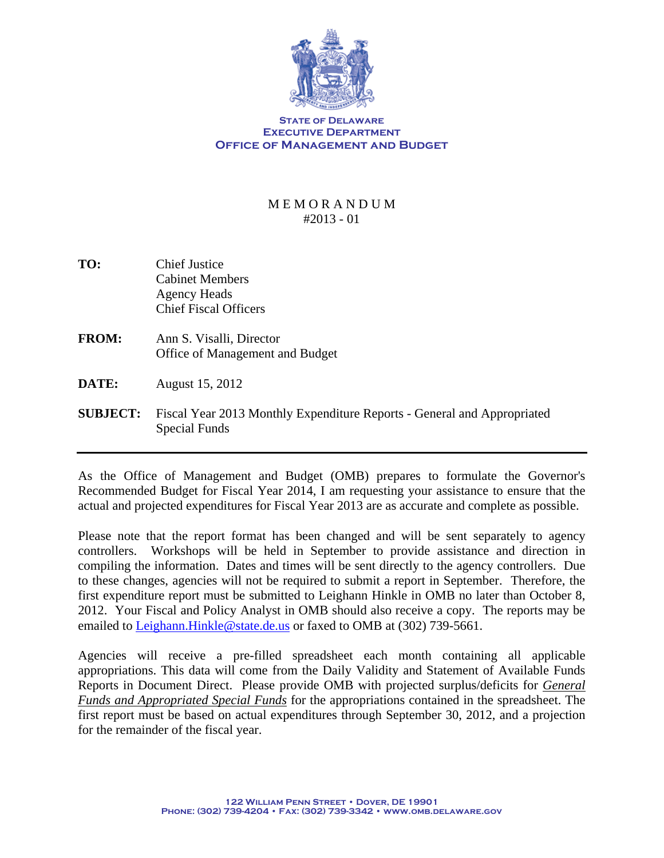

## **STATE OF DELAWARE Executive Department OFFICE OF MANAGEMENT AND BUDGET**

## M E M O R A N D U M #2013 - 01

- **TO:** Chief Justice Cabinet Members Agency Heads Chief Fiscal Officers
- **FROM:** Ann S. Visalli, Director Office of Management and Budget
- **DATE:** August 15, 2012
- **SUBJECT:** Fiscal Year 2013 Monthly Expenditure Reports General and Appropriated Special Funds

As the Office of Management and Budget (OMB) prepares to formulate the Governor's Recommended Budget for Fiscal Year 2014, I am requesting your assistance to ensure that the actual and projected expenditures for Fiscal Year 2013 are as accurate and complete as possible.

Please note that the report format has been changed and will be sent separately to agency controllers. Workshops will be held in September to provide assistance and direction in compiling the information. Dates and times will be sent directly to the agency controllers. Due to these changes, agencies will not be required to submit a report in September. Therefore, the first expenditure report must be submitted to Leighann Hinkle in OMB no later than October 8, 2012. Your Fiscal and Policy Analyst in OMB should also receive a copy. The reports may be emailed to Leighann. Hinkle@state.de.us or faxed to OMB at (302) 739-5661.

Agencies will receive a pre-filled spreadsheet each month containing all applicable appropriations. This data will come from the Daily Validity and Statement of Available Funds Reports in Document Direct. Please provide OMB with projected surplus/deficits for *General Funds and Appropriated Special Funds* for the appropriations contained in the spreadsheet. The first report must be based on actual expenditures through September 30, 2012, and a projection for the remainder of the fiscal year.